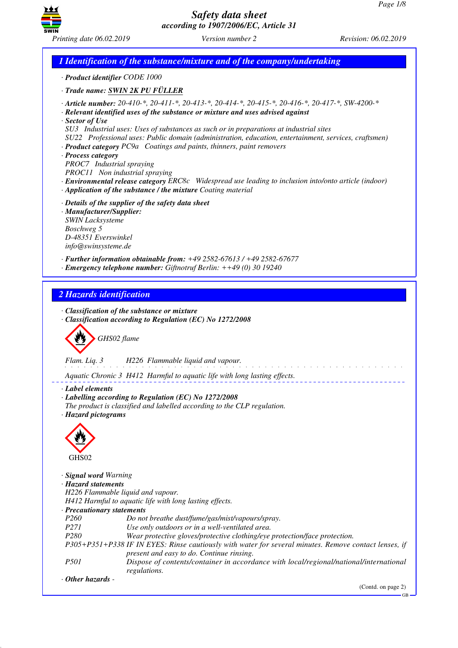GB



# *Safety data sheet according to 1907/2006/EC, Article 31*

*1 Identification of the substance/mixture and of the company/undertaking · Product identifier CODE 1000 · Trade name: SWIN 2K PU FÜLLER · Article number: 20-410-\*, 20-411-\*, 20-413-\*, 20-414-\*, 20-415-\*, 20-416-\*, 20-417-\*, SW-4200-\* · Relevant identified uses of the substance or mixture and uses advised against · Sector of Use SU3 Industrial uses: Uses of substances as such or in preparations at industrial sites SU22 Professional uses: Public domain (administration, education, entertainment, services, craftsmen) · Product category PC9a Coatings and paints, thinners, paint removers · Process category PROC7 Industrial spraying PROC11 Non industrial spraying · Environmental release category ERC8c Widespread use leading to inclusion into/onto article (indoor) · Application of the substance / the mixture Coating material · Details of the supplier of the safety data sheet · Manufacturer/Supplier: SWIN Lacksysteme Boschweg 5 D-48351 Everswinkel info@swinsysteme.de · Further information obtainable from: +49 2582-67613 / +49 2582-67677 · Emergency telephone number: Giftnotruf Berlin: ++49 (0) 30 19240 2 Hazards identification · Classification of the substance or mixture · Classification according to Regulation (EC) No 1272/2008* d~*GHS02 flame Flam. Liq. 3 H226 Flammable liquid and vapour.* . . . . . . . . . . . . . . *Aquatic Chronic 3 H412 Harmful to aquatic life with long lasting effects. · Label elements · Labelling according to Regulation (EC) No 1272/2008 The product is classified and labelled according to the CLP regulation. · Hazard pictograms* < GHS02 *· Signal word Warning · Hazard statements H226 Flammable liquid and vapour. H412 Harmful to aquatic life with long lasting effects. · Precautionary statements P260 Do not breathe dust/fume/gas/mist/vapours/spray. P271 Use only outdoors or in a well-ventilated area. P280 Wear protective gloves/protective clothing/eye protection/face protection. P305+P351+P338 IF IN EYES: Rinse cautiously with water for several minutes. Remove contact lenses, if present and easy to do. Continue rinsing. P501 Dispose of contents/container in accordance with local/regional/national/international regulations. · Other hazards -*  (Contd. on page 2)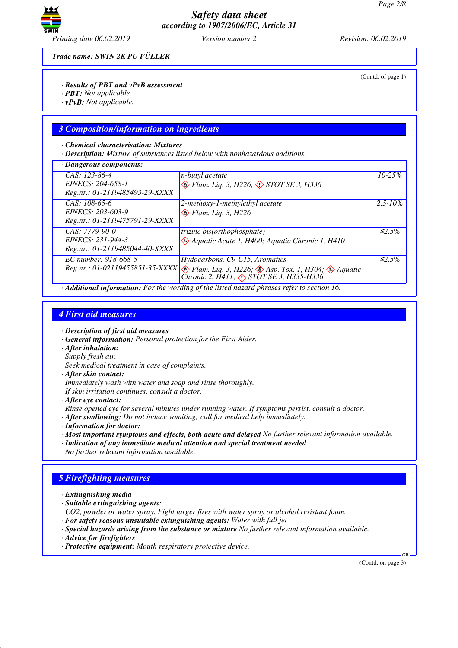

*Trade name: SWIN 2K PU FÜLLER*

*· Results of PBT and vPvB assessment*

- *· PBT: Not applicable.*
- *· vPvB: Not applicable.*

### *3 Composition/information on ingredients*

#### *· Chemical characterisation: Mixtures*

*· Description: Mixture of substances listed below with nonhazardous additions.*

| $CAS: 123-86-4$<br>n-butyl acetate<br>$\circledast$ Flam. Liq. 3, H226; $\circledast$ STOT SE 3, H336<br>EINECS: 204-658-1<br>Reg.nr.: 01-2119485493-29-XXXX<br>CAS: 108-65-6<br>2-methoxy-1-methylethyl acetate<br>EINECS: 203-603-9<br>$\leftrightarrow$ Flam. Liq. 3, H226<br>Reg.nr.: 01-2119475791-29-XXXX<br>$CAS: 7779-90-0$<br>trizinc bis(orthophosphate)<br>$\leftrightarrow$ Aquatic Acute 1, H400; Aquatic Chronic 1, H410<br>EINECS: 231-944-3<br>Reg.nr.: 01-2119485044-40-XXXX<br>EC number: 918-668-5<br>Hydocarbons, C9-C15, Aromatics<br>Reg.nr.: 01-02119455851-35-XXXX $\circledast$ Flam. Liq. 3, H226; $\circledast$ Asp. Tox. 1, H304; $\circledast$ Aquatic | · Dangerous components: |                    |
|-------------------------------------------------------------------------------------------------------------------------------------------------------------------------------------------------------------------------------------------------------------------------------------------------------------------------------------------------------------------------------------------------------------------------------------------------------------------------------------------------------------------------------------------------------------------------------------------------------------------------------------------------------------------------------------|-------------------------|--------------------|
|                                                                                                                                                                                                                                                                                                                                                                                                                                                                                                                                                                                                                                                                                     |                         | $10 - 25%$         |
|                                                                                                                                                                                                                                                                                                                                                                                                                                                                                                                                                                                                                                                                                     |                         | $2.5 - 10\%$       |
|                                                                                                                                                                                                                                                                                                                                                                                                                                                                                                                                                                                                                                                                                     |                         | $\leq 2.5\%$       |
| Chronic 2, $H411$ ; $\Diamond$ STOT SE 3, H335-H336                                                                                                                                                                                                                                                                                                                                                                                                                                                                                                                                                                                                                                 |                         | $\mathcal{L}2.5\%$ |

*· Additional information: For the wording of the listed hazard phrases refer to section 16.*

### *4 First aid measures*

*· Description of first aid measures*

- *· General information: Personal protection for the First Aider.*
- *· After inhalation:*
- *Supply fresh air.*

*Seek medical treatment in case of complaints.*

*· After skin contact:*

*Immediately wash with water and soap and rinse thoroughly.*

*If skin irritation continues, consult a doctor.*

*· After eye contact:*

*Rinse opened eye for several minutes under running water. If symptoms persist, consult a doctor.*

- *· After swallowing: Do not induce vomiting; call for medical help immediately.*
- *· Information for doctor:*
- *· Most important symptoms and effects, both acute and delayed No further relevant information available.*
- *· Indication of any immediate medical attention and special treatment needed No further relevant information available.*

## *5 Firefighting measures*

- *· Extinguishing media*
- *· Suitable extinguishing agents:*

*CO2, powder or water spray. Fight larger fires with water spray or alcohol resistant foam.*

- *· For safety reasons unsuitable extinguishing agents: Water with full jet*
- *· Special hazards arising from the substance or mixture No further relevant information available.*
- *· Advice for firefighters*
- *· Protective equipment: Mouth respiratory protective device.*

(Contd. on page 3)

GB

(Contd. of page 1)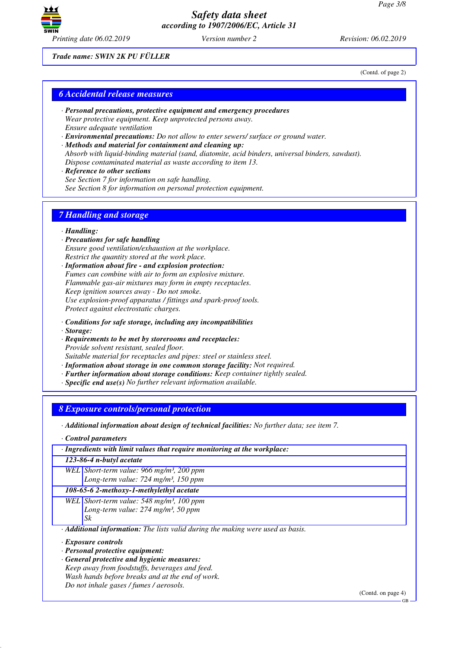

*Trade name: SWIN 2K PU FÜLLER*

(Contd. of page 2)

## *6 Accidental release measures*

- *· Personal precautions, protective equipment and emergency procedures Wear protective equipment. Keep unprotected persons away. Ensure adequate ventilation*
- *· Environmental precautions: Do not allow to enter sewers/ surface or ground water.*
- *· Methods and material for containment and cleaning up: Absorb with liquid-binding material (sand, diatomite, acid binders, universal binders, sawdust). Dispose contaminated material as waste according to item 13.*
- *· Reference to other sections See Section 7 for information on safe handling. See Section 8 for information on personal protection equipment.*

## *7 Handling and storage*

### *· Handling:*

- *· Precautions for safe handling Ensure good ventilation/exhaustion at the workplace. Restrict the quantity stored at the work place.*
- *· Information about fire and explosion protection: Fumes can combine with air to form an explosive mixture. Flammable gas-air mixtures may form in empty receptacles. Keep ignition sources away - Do not smoke. Use explosion-proof apparatus / fittings and spark-proof tools. Protect against electrostatic charges.*
- *· Conditions for safe storage, including any incompatibilities*
- *· Storage:*
- *· Requirements to be met by storerooms and receptacles: Provide solvent resistant, sealed floor. Suitable material for receptacles and pipes: steel or stainless steel.*
- *· Information about storage in one common storage facility: Not required.*
- *· Further information about storage conditions: Keep container tightly sealed.*
- *· Specific end use(s) No further relevant information available.*

### *8 Exposure controls/personal protection*

*· Additional information about design of technical facilities: No further data; see item 7.*

*· Control parameters*

*· Ingredients with limit values that require monitoring at the workplace:*

*123-86-4 n-butyl acetate*

*WEL Short-term value: 966 mg/m³, 200 ppm Long-term value: 724 mg/m³, 150 ppm*

### *108-65-6 2-methoxy-1-methylethyl acetate*

*WEL Short-term value: 548 mg/m³, 100 ppm Long-term value: 274 mg/m³, 50 ppm Sk*

*· Additional information: The lists valid during the making were used as basis.*

- *· Exposure controls*
- *· Personal protective equipment:*
- *· General protective and hygienic measures:*
- *Keep away from foodstuffs, beverages and feed. Wash hands before breaks and at the end of work.*

*Do not inhale gases / fumes / aerosols.*

(Contd. on page 4)

GB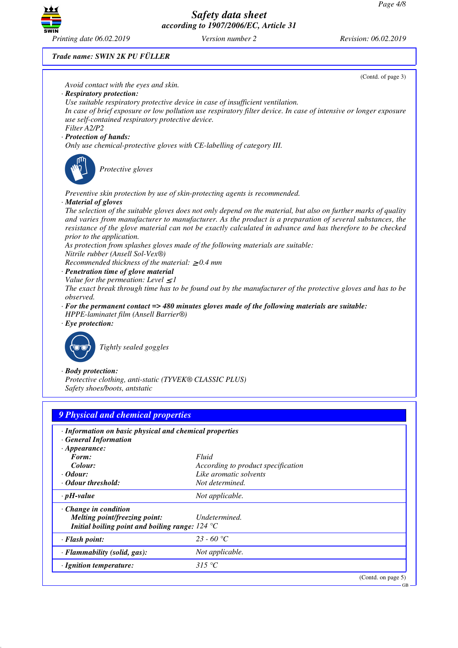GB



*Safety data sheet according to 1907/2006/EC, Article 31*

#### *Trade name: SWIN 2K PU FÜLLER*



| vavar un csnow.                                                                                                                         | <i><u>rol acteminica.</u></i> |
|-----------------------------------------------------------------------------------------------------------------------------------------|-------------------------------|
| $\cdot$ pH-value                                                                                                                        | Not applicable.               |
| $\cdot$ Change in condition<br>Melting point/freezing point:<br>Initial boiling point and boiling range: $124 \text{ }^{\circ}\text{C}$ | Undetermined.                 |
| $\cdot$ Flash point:                                                                                                                    | 23 - 60 °C                    |
| $\cdot$ Flammability (solid, gas):                                                                                                      | Not applicable.               |
| · Ignition temperature:                                                                                                                 | 315 °C                        |
|                                                                                                                                         | (Contd. on page $5$ )         |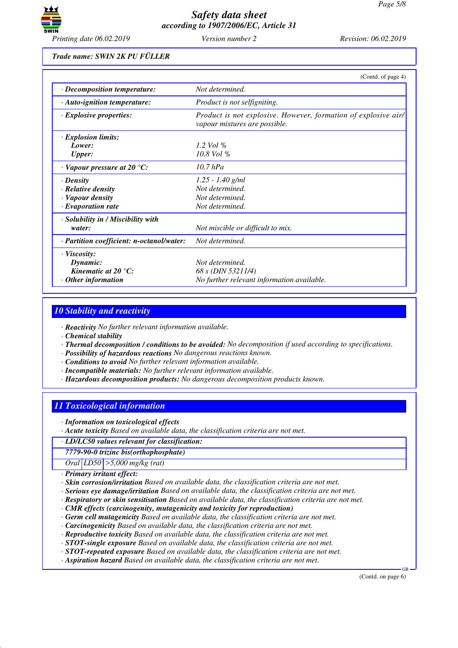

*Trade name: SWIN 2K PU FÜLLER*

|                                            | (Contd. of page 4)                                                                              |  |
|--------------------------------------------|-------------------------------------------------------------------------------------------------|--|
| · Decomposition temperature:               | Not determined.                                                                                 |  |
| · Auto-ignition temperature:               | Product is not selfigniting.                                                                    |  |
| $\cdot$ Explosive properties:              | Product is not explosive. However, formation of explosive air/<br>vapour mixtures are possible. |  |
| $\cdot$ Explosion limits:                  |                                                                                                 |  |
| Lower:                                     | 1.2 Vol $\%$                                                                                    |  |
| <b>Upper:</b>                              | 10.8 Vol %                                                                                      |  |
| $\cdot$ Vapour pressure at 20 $\degree$ C: | 10.7 hPa                                                                                        |  |
| $\cdot$ Density                            | $1.25 - 1.40$ g/ml                                                                              |  |
| $\cdot$ Relative density                   | Not determined.                                                                                 |  |
| · Vapour density                           | Not determined.                                                                                 |  |
| $\cdot$ Evaporation rate                   | Not determined.                                                                                 |  |
| · Solubility in / Miscibility with         |                                                                                                 |  |
| water:                                     | Not miscible or difficult to mix.                                                               |  |
| · Partition coefficient: n-octanol/water:  | Not determined.                                                                                 |  |
| $\cdot$ Viscosity:                         |                                                                                                 |  |
| Dynamic:                                   | Not determined.                                                                                 |  |
| Kinematic at $20^{\circ}$ C:               | 68 s (DIN 53211/4)                                                                              |  |
| $\cdot$ Other information                  | No further relevant information available.                                                      |  |

## *10 Stability and reactivity*

*· Reactivity No further relevant information available.*

*· Chemical stability*

- *· Thermal decomposition / conditions to be avoided: No decomposition if used according to specifications.*
- *· Possibility of hazardous reactions No dangerous reactions known.*
- *· Conditions to avoid No further relevant information available.*
- *· Incompatible materials: No further relevant information available.*
- *· Hazardous decomposition products: No dangerous decomposition products known.*

## *11 Toxicological information*

*· Information on toxicological effects*

*· Acute toxicity Based on available data, the classification criteria are not met.*

*· LD/LC50 values relevant for classification:*

*7779-90-0 trizinc bis(orthophosphate)*

*Oral LD50 >5,000 mg/kg (rat)*

*· Primary irritant effect:*

*· Skin corrosion/irritation Based on available data, the classification criteria are not met.*

- *· Serious eye damage/irritation Based on available data, the classification criteria are not met.*
- *· Respiratory or skin sensitisation Based on available data, the classification criteria are not met.*
- *· CMR effects (carcinogenity, mutagenicity and toxicity for reproduction)*
- *· Germ cell mutagenicity Based on available data, the classification criteria are not met.*
- *· Carcinogenicity Based on available data, the classification criteria are not met.*
- *· Reproductive toxicity Based on available data, the classification criteria are not met.*
- *· STOT-single exposure Based on available data, the classification criteria are not met.*
- *· STOT-repeated exposure Based on available data, the classification criteria are not met.*
- *· Aspiration hazard Based on available data, the classification criteria are not met.*

(Contd. on page 6)

GB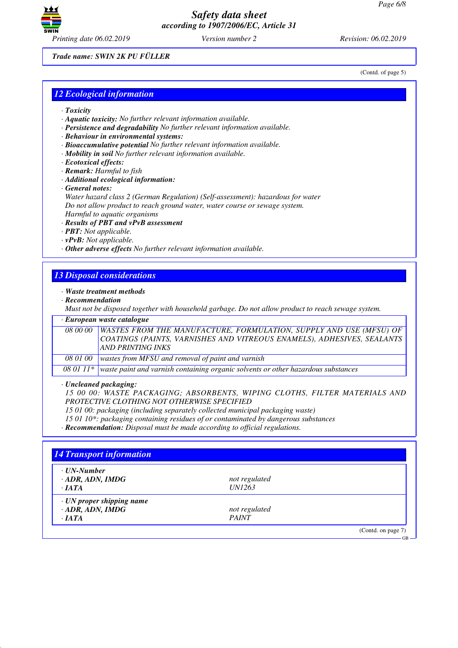

(Contd. of page 5)

GB

*Trade name: SWIN 2K PU FÜLLER*

*12 Ecological information*

- *· Toxicity*
- *· Aquatic toxicity: No further relevant information available.*
- *· Persistence and degradability No further relevant information available.*
- *· Behaviour in environmental systems:*
- *· Bioaccumulative potential No further relevant information available.*
- *· Mobility in soil No further relevant information available.*
- *· Ecotoxical effects:*
- *· Remark: Harmful to fish*
- *· Additional ecological information:*
- *· General notes:*

*Water hazard class 2 (German Regulation) (Self-assessment): hazardous for water Do not allow product to reach ground water, water course or sewage system. Harmful to aquatic organisms*

#### *· Results of PBT and vPvB assessment*

- *· PBT: Not applicable.*
- *· vPvB: Not applicable.*
- *· Other adverse effects No further relevant information available.*

## *13 Disposal considerations*

#### *· Waste treatment methods*

*· Recommendation*

*Must not be disposed together with household garbage. Do not allow product to reach sewage system.*

#### *· European waste catalogue*

|          | 08 00 00   WASTES FROM THE MANUFACTURE, FORMULATION, SUPPLY AND USE (MFSU) OF<br>COATINGS (PAINTS, VARNISHES AND VITREOUS ENAMELS), ADHESIVES, SEALANTS<br><b>AND PRINTING INKS</b> |
|----------|-------------------------------------------------------------------------------------------------------------------------------------------------------------------------------------|
| 08 01 00 | wastes from MFSU and removal of paint and varnish                                                                                                                                   |
| -------- |                                                                                                                                                                                     |

*08 01 11\* waste paint and varnish containing organic solvents or other hazardous substances*

#### *· Uncleaned packaging:*

*15 00 00: WASTE PACKAGING; ABSORBENTS, WIPING CLOTHS, FILTER MATERIALS AND PROTECTIVE CLOTHING NOT OTHERWISE SPECIFIED*

*15 01 00: packaging (including separately collected municipal packaging waste)*

*15 01 10\*: packaging containing residues of or contaminated by dangerous substances*

*· Recommendation: Disposal must be made according to official regulations.*

| <b>14 Transport information</b>                        |               |                    |
|--------------------------------------------------------|---------------|--------------------|
| $\cdot$ UN-Number<br>$\cdot$ ADR, ADN, IMDG            | not regulated |                    |
| $\cdot$ <i>IATA</i><br>$\cdot$ UN proper shipping name | <i>UN1263</i> |                    |
| $\cdot$ ADR, ADN, IMDG                                 | not regulated |                    |
| $\cdot$ <i>IATA</i>                                    | <b>PAINT</b>  |                    |
|                                                        |               | (Contd. on page 7) |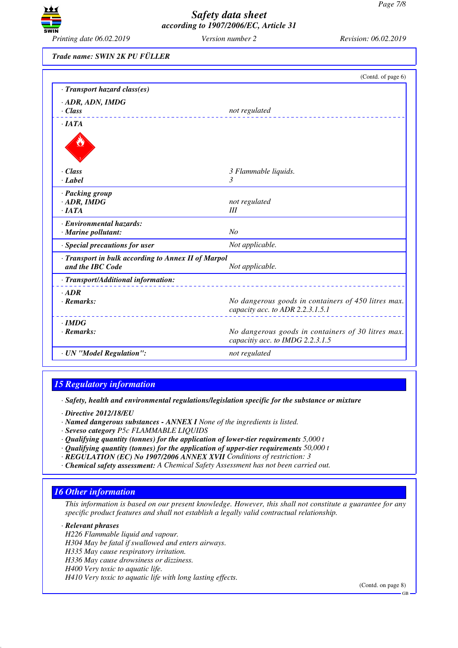

*Trade name: SWIN 2K PU FÜLLER*

|                                                                         | (Contd. of page 6)                                                                      |
|-------------------------------------------------------------------------|-----------------------------------------------------------------------------------------|
| · Transport hazard class(es)                                            |                                                                                         |
| · ADR, ADN, IMDG                                                        |                                                                                         |
| $\cdot$ Class                                                           | not regulated                                                                           |
| $\cdot$ <i>IATA</i>                                                     |                                                                                         |
|                                                                         |                                                                                         |
| $\cdot$ Class                                                           | 3 Flammable liquids.                                                                    |
| · Label                                                                 | 3                                                                                       |
| · Packing group                                                         |                                                                                         |
| $\cdot$ ADR, IMDG                                                       | not regulated                                                                           |
| $\cdot$ IATA                                                            | III                                                                                     |
| · Environmental hazards:                                                |                                                                                         |
| · Marine pollutant:                                                     | N <sub>O</sub>                                                                          |
| · Special precautions for user                                          | Not applicable.                                                                         |
| · Transport in bulk according to Annex II of Marpol<br>and the IBC Code |                                                                                         |
|                                                                         | Not applicable.                                                                         |
| · Transport/Additional information:                                     |                                                                                         |
| $-$ ADR                                                                 |                                                                                         |
| $\cdot$ Remarks:                                                        | No dangerous goods in containers of 450 litres max.<br>capacity acc. to ADR 2.2.3.1.5.1 |
| $\cdot$ IMDG                                                            |                                                                                         |
| $\cdot$ Remarks:                                                        | No dangerous goods in containers of 30 litres max.<br>capacitiy acc. to IMDG 2.2.3.1.5  |
| · UN "Model Regulation":                                                | not regulated                                                                           |

## *15 Regulatory information*

*· Safety, health and environmental regulations/legislation specific for the substance or mixture*

- *· Directive 2012/18/EU*
- *· Named dangerous substances ANNEX I None of the ingredients is listed.*
- *· Seveso category P5c FLAMMABLE LIQUIDS*
- *· Qualifying quantity (tonnes) for the application of lower-tier requirements 5,000 t*
- *· Qualifying quantity (tonnes) for the application of upper-tier requirements 50,000 t*
- *· REGULATION (EC) No 1907/2006 ANNEX XVII Conditions of restriction: 3*
- *· Chemical safety assessment: A Chemical Safety Assessment has not been carried out.*

### *16 Other information*

*This information is based on our present knowledge. However, this shall not constitute a guarantee for any specific product features and shall not establish a legally valid contractual relationship.*

### *· Relevant phrases*

*H226 Flammable liquid and vapour. H304 May be fatal if swallowed and enters airways. H335 May cause respiratory irritation. H336 May cause drowsiness or dizziness. H400 Very toxic to aquatic life. H410 Very toxic to aquatic life with long lasting effects.*

(Contd. on page 8)

GB